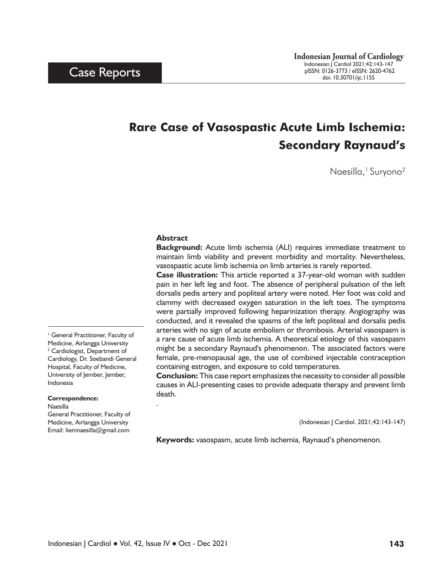# **Rare Case of Vasospastic Acute Limb Ischemia: Secondary Raynaud's**

Naesilla,<sup>1</sup> Suryono<sup>2</sup>

#### **Abstract**

.

**Background:** Acute limb ischemia (ALI) requires immediate treatment to maintain limb viability and prevent morbidity and mortality. Nevertheless, vasospastic acute limb ischemia on limb arteries is rarely reported.

**Case illustration:** This article reported a 37-year-old woman with sudden pain in her left leg and foot. The absence of peripheral pulsation of the left dorsalis pedis artery and popliteal artery were noted. Her foot was cold and clammy with decreased oxygen saturation in the left toes. The symptoms were partially improved following heparinization therapy. Angiography was conducted, and it revealed the spasms of the left popliteal and dorsalis pedis arteries with no sign of acute embolism or thrombosis. Arterial vasospasm is a rare cause of acute limb ischemia. A theoretical etiology of this vasospasm might be a secondary Raynaud's phenomenon. The associated factors were female, pre-menopausal age, the use of combined injectable contraception containing estrogen, and exposure to cold temperatures.

**Conclusion:** This case report emphasizes the necessity to consider all possible causes in ALI-presenting cases to provide adequate therapy and prevent limb death.

(Indonesian J Cardiol. 2021;42:143-147)

**Keywords:** vasospasm, acute limb ischemia, Raynaud's phenomenon.

<sup>1</sup> General Practitioner, Faculty of Medicine, Airlangga University <sup>2</sup> Cardiologist, Department of Cardiology, Dr. Soebandi General Hospital, Faculty of Medicine, University of Jember, Jember, Indonesia

#### **Correspondence:**

Naesilla

General Practitioner, Faculty of Medicine, Airlangga University Email: liemnaesilla@gmail.com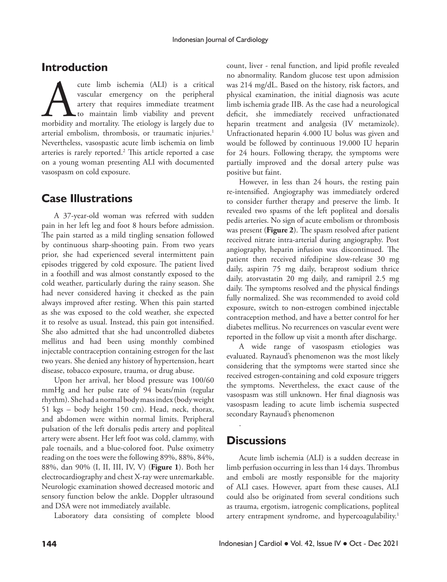#### **Introduction**

cute limb ischemia (ALI) is a critical vascular emergency on the peripheral artery that requires immediate treatment to maintain limb viability and prevent morbidity and mortality. The etiology is largely due to vascular emergency on the peripheral artery that requires immediate treatment to maintain limb viability and prevent arterial embolism, thrombosis, or traumatic injuries.<sup>1</sup> Nevertheless, vasospastic acute limb ischemia on limb arteries is rarely reported.<sup>2</sup> This article reported a case on a young woman presenting ALI with documented vasospasm on cold exposure.

#### **Case Illustrations**

A 37-year-old woman was referred with sudden pain in her left leg and foot 8 hours before admission. The pain started as a mild tingling sensation followed by continuous sharp-shooting pain. From two years prior, she had experienced several intermittent pain episodes triggered by cold exposure. The patient lived in a foothill and was almost constantly exposed to the cold weather, particularly during the rainy season. She had never considered having it checked as the pain always improved after resting. When this pain started as she was exposed to the cold weather, she expected it to resolve as usual. Instead, this pain got intensified. She also admitted that she had uncontrolled diabetes mellitus and had been using monthly combined injectable contraception containing estrogen for the last two years. She denied any history of hypertension, heart disease, tobacco exposure, trauma, or drug abuse.

Upon her arrival, her blood pressure was 100/60 mmHg and her pulse rate of 94 beats/min (regular rhythm). She had a normal body mass index (body weight 51 kgs – body height 150 cm). Head, neck, thorax, and abdomen were within normal limits. Peripheral pulsation of the left dorsalis pedis artery and popliteal artery were absent. Her left foot was cold, clammy, with pale toenails, and a blue-colored foot. Pulse oximetry reading on the toes were the following 89%, 88%, 84%, 88%, dan 90% (I, II, III, IV, V) (**Figure 1**). Both her electrocardiography and chest X-ray were unremarkable. Neurologic examination showed decreased motoric and sensory function below the ankle. Doppler ultrasound and DSA were not immediately available.

Laboratory data consisting of complete blood

count, liver - renal function, and lipid profile revealed no abnormality. Random glucose test upon admission was 214 mg/dL. Based on the history, risk factors, and physical examination, the initial diagnosis was acute limb ischemia grade IIB. As the case had a neurological deficit, she immediately received unfractionated heparin treatment and analgesia (IV metamizole). Unfractionated heparin 4.000 IU bolus was given and would be followed by continuous 19.000 IU heparin for 24 hours. Following therapy, the symptoms were partially improved and the dorsal artery pulse was positive but faint.

However, in less than 24 hours, the resting pain re-intensified. Angiography was immediately ordered to consider further therapy and preserve the limb. It revealed two spasms of the left popliteal and dorsalis pedis arteries. No sign of acute embolism or thrombosis was present (**Figure 2**). The spasm resolved after patient received nitrate intra-arterial during angiography. Post angiography, heparin infusion was discontinued. The patient then received nifedipine slow-release 30 mg daily, aspirin 75 mg daily, beraprost sodium thrice daily, atorvastatin 20 mg daily, and ramipril 2.5 mg daily. The symptoms resolved and the physical findings fully normalized. She was recommended to avoid cold exposure, switch to non-estrogen combined injectable contraception method, and have a better control for her diabetes mellitus. No recurrences on vascular event were reported in the follow up visit a month after discharge.

A wide range of vasospasm etiologies was evaluated. Raynaud's phenomenon was the most likely considering that the symptoms were started since she received estrogen-containing and cold exposure triggers the symptoms. Nevertheless, the exact cause of the vasospasm was still unknown. Her final diagnosis was vasospasm leading to acute limb ischemia suspected secondary Raynaud's phenomenon

#### **Discussions**

.

Acute limb ischemia (ALI) is a sudden decrease in limb perfusion occurring in less than 14 days. Thrombus and emboli are mostly responsible for the majority of ALI cases. However, apart from these causes, ALI could also be originated from several conditions such as trauma, ergotism, iatrogenic complications, popliteal artery entrapment syndrome, and hypercoagulability.<sup>1</sup>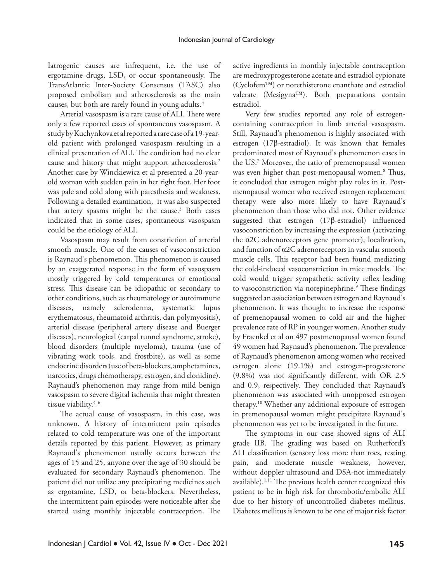Iatrogenic causes are infrequent, i.e. the use of ergotamine drugs, LSD, or occur spontaneously. The TransAtlantic Inter-Society Consensus (TASC) also proposed embolism and atherosclerosis as the main causes, but both are rarely found in young adults.<sup>3</sup>

Arterial vasospasm is a rare cause of ALI. There were only a few reported cases of spontaneous vasospasm. A study by Kuchynkova et al reported a rare case of a 19-yearold patient with prolonged vasospasm resulting in a clinical presentation of ALI. The condition had no clear cause and history that might support atherosclerosis.<sup>2</sup> Another case by Winckiewicz et al presented a 20-yearold woman with sudden pain in her right foot. Her foot was pale and cold along with paresthesia and weakness. Following a detailed examination, it was also suspected that artery spasms might be the cause.<sup>3</sup> Both cases indicated that in some cases, spontaneous vasospasm could be the etiology of ALI.

Vasospasm may result from constriction of arterial smooth muscle. One of the causes of vasoconstriction is Raynaud's phenomenon. This phenomenon is caused by an exaggerated response in the form of vasospasm mostly triggered by cold temperatures or emotional stress. This disease can be idiopathic or secondary to other conditions, such as rheumatology or autoimmune diseases, namely scleroderma, systematic lupus erythematosus, rheumatoid arthritis, dan polymyositis), arterial disease (peripheral artery disease and Buerger diseases), neurological (carpal tunnel syndrome, stroke), blood disorders (multiple myeloma), trauma (use of vibrating work tools, and frostbite), as well as some endocrine disorders (use of beta-blockers, amphetamines, narcotics, drugs chemotherapy, estrogen, and clonidine). Raynaud's phenomenon may range from mild benign vasospasm to severe digital ischemia that might threaten tissue viability.<sup>4-6</sup>

The actual cause of vasospasm, in this case, was unknown. A history of intermittent pain episodes related to cold temperature was one of the important details reported by this patient. However, as primary Raynaud's phenomenon usually occurs between the ages of 15 and 25, anyone over the age of 30 should be evaluated for secondary Raynaud's phenomenon. The patient did not utilize any precipitating medicines such as ergotamine, LSD, or beta-blockers. Nevertheless, the intermittent pain episodes were noticeable after she started using monthly injectable contraception. The

active ingredients in monthly injectable contraception are medroxyprogesterone acetate and estradiol cypionate  $(Cyclofem<sup>TM</sup>)$  or norethisterone enanthate and estradiol valerate (Mesigyna<sup>TM</sup>). Both preparations contain estradiol.

Very few studies reported any role of estrogencontaining contraception in limb arterial vasospasm. Still, Raynaud's phenomenon is highly associated with estrogen (17β-estradiol). It was known that females predominated most of Raynaud's phenomenon cases in the US.7 Moreover, the ratio of premenopausal women was even higher than post-menopausal women.<sup>8</sup> Thus, it concluded that estrogen might play roles in it. Postmenopausal women who received estrogen replacement therapy were also more likely to have Raynaud's phenomenon than those who did not. Other evidence suggested that estrogen (17β-estradiol) influenced vasoconstriction by increasing the expression (activating the α2C adrenoreceptors gene promoter), localization, and function of α2C adrenoreceptors in vascular smooth muscle cells. This receptor had been found mediating the cold-induced vasoconstriction in mice models. The cold would trigger sympathetic activity reflex leading to vasoconstriction via norepinephrine.<sup>9</sup> These findings suggested an association between estrogen and Raynaud's phenomenon. It was thought to increase the response of premenopausal women to cold air and the higher prevalence rate of RP in younger women. Another study by Fraenkel et al on 497 postmenopausal women found 49 women had Raynaud's phenomenon. The prevalence of Raynaud's phenomenon among women who received estrogen alone (19.1%) and estrogen-progesterone (9.8%) was not significantly different, with OR 2.5 and 0.9, respectively. They concluded that Raynaud's phenomenon was associated with unopposed estrogen therapy.10 Whether any additional exposure of estrogen in premenopausal women might precipitate Raynaud's phenomenon was yet to be investigated in the future.

The symptoms in our case showed signs of ALI grade IIB. The grading was based on Rutherford's ALI classification (sensory loss more than toes, resting pain, and moderate muscle weakness, however, without doppler ultrasound and DSA-not immediately available).<sup>1,11</sup> The previous health center recognized this patient to be in high risk for thrombotic/embolic ALI due to her history of uncontrolled diabetes mellitus. Diabetes mellitus is known to be one of major risk factor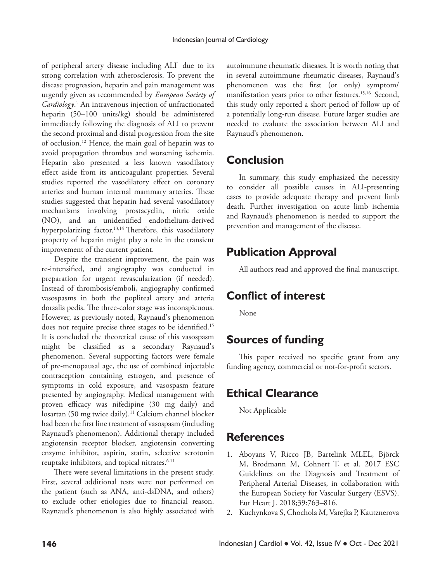of peripheral artery disease including ALI<sup>1</sup> due to its strong correlation with atherosclerosis. To prevent the disease progression, heparin and pain management was urgently given as recommended by *European Society of Cardiology*. 1 An intravenous injection of unfractionated heparin (50–100 units/kg) should be administered immediately following the diagnosis of ALI to prevent the second proximal and distal progression from the site of occlusion.12 Hence, the main goal of heparin was to avoid propagation thrombus and worsening ischemia. Heparin also presented a less known vasodilatory effect aside from its anticoagulant properties. Several studies reported the vasodilatory effect on coronary arteries and human internal mammary arteries. These studies suggested that heparin had several vasodilatory mechanisms involving prostacyclin, nitric oxide (NO), and an unidentified endothelium-derived hyperpolarizing factor.<sup>13,14</sup> Therefore, this vasodilatory property of heparin might play a role in the transient improvement of the current patient.

Despite the transient improvement, the pain was re-intensified, and angiography was conducted in preparation for urgent revascularization (if needed). Instead of thrombosis/emboli, angiography confirmed vasospasms in both the popliteal artery and arteria dorsalis pedis. The three-color stage was inconspicuous. However, as previously noted, Raynaud's phenomenon does not require precise three stages to be identified.<sup>15</sup> It is concluded the theoretical cause of this vasospasm might be classified as a secondary Raynaud's phenomenon. Several supporting factors were female of pre-menopausal age, the use of combined injectable contraception containing estrogen, and presence of symptoms in cold exposure, and vasospasm feature presented by angiography. Medical management with proven efficacy was nifedipine (30 mg daily) and losartan (50 mg twice daily).<sup>11</sup> Calcium channel blocker had been the first line treatment of vasospasm (including Raynaud's phenomenon). Additional therapy included angiotensin receptor blocker, angiotensin converting enzyme inhibitor, aspirin, statin, selective serotonin reuptake inhibitors, and topical nitrates.<sup>6.11</sup>

There were several limitations in the present study. First, several additional tests were not performed on the patient (such as ANA, anti-dsDNA, and others) to exclude other etiologies due to financial reason. Raynaud's phenomenon is also highly associated with autoimmune rheumatic diseases. It is worth noting that in several autoimmune rheumatic diseases, Raynaud's phenomenon was the first (or only) symptom/ manifestation years prior to other features.<sup>15,16</sup> Second, this study only reported a short period of follow up of a potentially long-run disease. Future larger studies are needed to evaluate the association between ALI and Raynaud's phenomenon.

# **Conclusion**

In summary, this study emphasized the necessity to consider all possible causes in ALI-presenting cases to provide adequate therapy and prevent limb death. Further investigation on acute limb ischemia and Raynaud's phenomenon is needed to support the prevention and management of the disease.

# **Publication Approval**

All authors read and approved the final manuscript.

# **Conflict of interest**

None

# **Sources of funding**

This paper received no specific grant from any funding agency, commercial or not-for-profit sectors.

#### **Ethical Clearance**

Not Applicable

# **References**

- 1. Aboyans V, Ricco JB, Bartelink MLEL, Björck M, Brodmann M, Cohnert T, et al. 2017 ESC Guidelines on the Diagnosis and Treatment of Peripheral Arterial Diseases, in collaboration with the European Society for Vascular Surgery (ESVS). Eur Heart J. 2018;39:763–816.
- 2. Kuchynkova S, Chochola M, Varejka P, Kautznerova